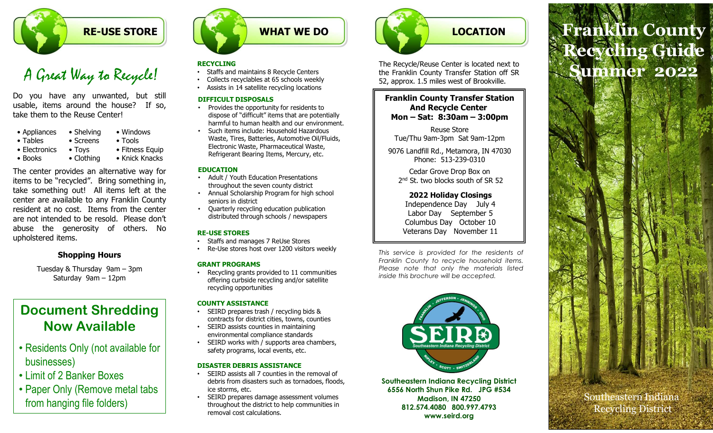# RE-USE STORE

# A Great Way to Recycle!

| <b>RE-USE STORE</b>                                                                                                                                                                                                       |                                                                                                                                                                                                                                                |  |
|---------------------------------------------------------------------------------------------------------------------------------------------------------------------------------------------------------------------------|------------------------------------------------------------------------------------------------------------------------------------------------------------------------------------------------------------------------------------------------|--|
| A Great Way to Recycle!<br>Do you have any unwanted, but still<br>usable, items around the house? If so,<br>take them to the Reuse Center!<br>$\bullet$ Shelving<br>• Appliances<br>$\bullet$ Tables<br>$\bullet$ Screens | <b>RECYCLING</b><br>Staffs and maint<br>Collects recyclab<br>Assists in 14 sate<br><b>DIFFICULT DISP(</b><br>Provides the opp<br>dispose of "diffio<br>harmful to huma<br>Such items inclu<br>• Windows<br>Waste, Tires, Ba<br>$\bullet$ Tools |  |
| • Electronics<br>$\bullet$ Toys<br>$\bullet$ Books<br>$\bullet$ Clothing<br>The center provides an alternative way for<br>tems to be "recycled". Bring something in,<br>take something out! All items left at the         | <b>Electronic Waste</b><br>• Fitness Equip<br>Refrigerant Bear<br>• Knick Knacks<br><b>EDUCATION</b><br>Adult / Youth Ed<br>throughout the :                                                                                                   |  |

**Example to be the something of the sometime**  $\vec{A}$  Contains and the properties of the something out all the something in the sometime of the certification of the certification of the something in the something out all **Example 19 and the something of the something out and the something out and the something of the something of the something of the something of the something of the something of the something of the something of the somet Example 1998**<br> **CALCONSTORE**<br> **A Great Weap to Recycle (1)**<br> **CALCONSTAND TO A Recycle (1)**<br>
Do you have any unwanted, but still<br>
the income of the county of the state excites to the Ruse Center!<br>
Sustain in the state in **Example 19 and 19 and 19 and 19 and 19 and 19 and 19 and 19 and 19 and 19 and 19 and 19 and 19 and 19 and 19 and 19 and 19 and 19 and 19 and 19 and 19 and 19 and 19 and 19 and 19 and 19 and 19 and 19 and 19 and 19 and 19 EXECUTE SET INTERNATION CONSUMPTED AND THAT WE DON'S CONSUMPTED AND A CONSUMPTED AND A CONSUMPTED AND A CONSUMPTED AND CONSUMPTED A CONSUMPTED AND CONSUMPTED A CONSUMPTED AND CONSUMPTED A CONSUMPTED AND CONSUMPTED A CONSU A Great Way to Recycle!**<br> **A Great Way to Recycle!**<br> **Buse the generalistic sections at S** scores the the season of the buse? If so,<br>
the state them to the Reuse Center!<br>
The state of the parameter of the state in the st A Great Way to Recycle!<br>
BECYCLING<br>
Do you have any unwanted, but still<br>
usable, items around the house? If so,<br>
Do you have any unwanted, but still<br>
usable, items around the house? If so,<br>
PECYCLING and statilitie recycle **ECONOMIST RE-USE STORE**<br> **A Great Way to Recycle!**<br>
States and maint<br>
No you have any unwanted, but still<br>
stable, items around the house? If so,<br>
Appliances • Shelving • Windows<br>
• Appliances • Shelving • Windows<br>
• Find The Counter of the Case of Strong engines are a substant of the same any unvariant of the continent in the ane of the continent in the same of the continent in the proportant of the same of the control of the same of the c ave any unwanted, but still<br>
IDEFICULT DISPOSALS<br>
IDEFICULT DISPOSALS<br>
Sature Center!<br>
Sature Center!<br>
Sature Center is the state population of the Reuse Center!<br>
Sature Center is the population of the state include:<br>
Nat

### Shopping Hours

# Document Shredding Now Available

- Residents Only (not available for businesses)
- Limit of 2 Banker Boxes
- Paper Only (Remove metal tabs from hanging file folders)



- 
- 
- Assists in 14 satellite recycling locations

### DIFFICULT DISPOSALS

- Provides the opportunity for residents to dispose of "difficult" items that are potentially  $\|\cdot\|$  Mon – Sat: 8:30am – 3:00pm harmful to human health and our environment.
- Such items include: Household Hazardous Waste, Tires, Batteries, Automotive Oil/Fluids, Electronic Waste, Pharmaceutical Waste, Refrigerant Bearing Items, Mercury, etc.

### EDUCATION

- Adult / Youth Education Presentations throughout the seven county district
- Annual Scholarship Program for high school seniors in district
- Quarterly recycling education publication distributed through schools / newspapers

### RE-USE STORES

- Staffs and manages 7 ReUse Stores
- Re-Use stores host over 1200 visitors weekly<br>
This service is provided for the residents of

Recycling grants provided to 11 communities<br>inside this brochure will be accepted. offering curbside recycling and/or satellite recycling opportunities

### COUNTY ASSISTANCE

- SEIRD prepares trash / recycling bids & contracts for district cities, towns, counties
- SEIRD assists counties in maintaining environmental compliance standards
- SEIRD works with / supports area chambers, safety programs, local events, etc.

### DISASTER DEBRIS ASSISTANCE

- SEIRD assists all 7 counties in the removal of debris from disasters such as tornadoes, floods, ice storms, etc.
- SEIRD prepares damage assessment volumes throughout the district to help communities in removal cost calculations.



**RECYCLING RECYCLING RECYCLING** *RECYCLING RECYCLING* • Staffs and maintains 8 Recycle Centers • Collects recyclables at 65 schools weekly 52, approx. 1.5 miles west of Brookville.

# Franklin County Transfer Station And Recycle Center

Reuse Store Tue/Thu 9am-3pm Sat 9am-12pm

9076 Landfill Rd., Metamora, IN 47030 Phone: 513-239-0310

Cedar Grove Drop Box on 2<sup>nd</sup> St. two blocks south of SR 52

### 2022 Holiday Closings

Independence Day July 4 Labor Day September 5 Columbus Day October 10 Veterans Day November 11

The Franklin County Transfer Station off SR<br>
SZ, approx. 1.5 miles west of Brookhille.<br> **Franklin County Transfer Station**<br> **And Recycle Center**<br> **Mon – Sat: 8:30am – 3:00pm**<br>
Reuse Store<br>
Tue/Thu 9am-3pm<br>
Reuse Store<br>
Tue S2, approx. I.S miles west of Brookville.<br>
Franklin County Transfer Station<br>
And Recycle Center<br>
Mon – Stati 8:30am – 3:00pm<br>
Reuse Store<br>
Tue/Thu 9am-3pm Sat 9am-12pm<br>
9076 Landfill Rd, Metamora, IN 47030<br>
Phone: 513-239-2x, applion. 1.5 hillies west of bloodwine:<br> **And Recycle Center**<br>
Mon – Sat: 8:30am – 3:00pm<br>
Resus Store<br>
Tue/Thu 9am-3*m*<br>
Please Store<br>
Tue/Thu 9am-3*m*<br>
Please Store<br>
2022 Holiday Chosings<br>
2022 Holiday Closings<br>
202 Franklin County Transfer Station<br>
Mon – Sat. 8:30am – 3:00pm<br>
Reuse Store<br>
Tue/Thu 9am-3pm Sat 9am-12pm<br>
9076 Landfill Rd., Metemore, JN 47030<br>
2022 Holiday Closings<br>
2022 Holiday Closings<br>
The Grow Drop Box on<br>
2<sup>nd</sup> St. GRANT PROGRAMS<br>GRANT PROGRAMS THE MODEL TO THE COUNTRY TO PLACE TO THE PLACE OF THE PLACE POOLS ISSUED TO THE PLACE TO THE PLA<br>Please note that only the materials listed



Southeastern Indiana Recycling District 6556 North Shun Pike Rd. JPG #534 Madison, IN 47250 812.574.4080 800.997.4793 www.seird.org

# LOCATION FRANKlin County LOCATION<br>
The Recycle/Reuse Center is located next to<br>
the Franklin County Transfer Station off SR<br>
Franklin County Transfer Station<br>
Franklin County Transfer Station<br>
Franklin County Transfer Station LOCATION<br>
The Recycle/Reuse Center is located next to<br>
the Franklin County Transfer Station off SR<br>
SL, approx. 1.5 miles west of Brookville.<br>
Franklin County Transfer Station<br>
And Recycle Center Franklin County<br>The Recycle/Reuse Center is located next to<br>the Franklin County Transfer Station of SR<br>E2, approx. 1.5 miles west of Brookville.<br>Franklin County Transfer Station<br>And Recycle Center<br>Mon – Sat: 8:30am – 3:00p LOCATION<br>
Recycle/Reuse Center is located next to<br>
Recycle/Reuse Center is located next to<br>
Papriox. 1.5 miles west of Brookville.<br>
Tanklin County Transfer Station off SR<br>
Tanklin County Transfer Station<br>
And Recycle Cente Recycling Guide Summer 2022

Southeastern Indiana Recycling District